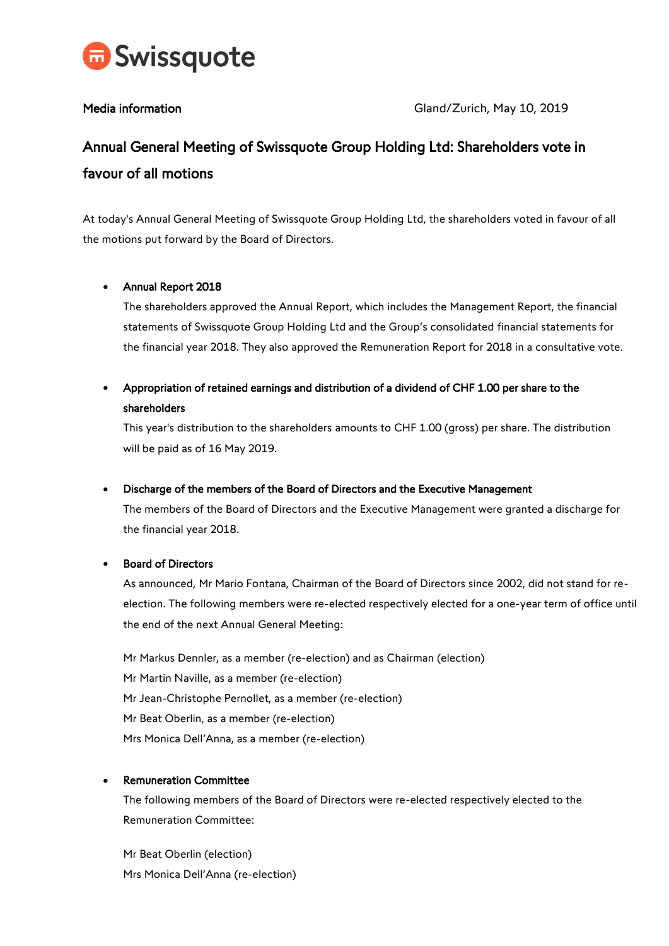

# Annual General Meeting of Swissquote Group Holding Ltd: Shareholders vote in favour of all motions

At today's Annual General Meeting of Swissquote Group Holding Ltd, the shareholders voted in favour of all the motions put forward by the Board of Directors.

### Annual Report 2018

The shareholders approved the Annual Report, which includes the Management Report, the financial statements of Swissquote Group Holding Ltd and the Group's consolidated financial statements for the financial year 2018. They also approved the Remuneration Report for 2018 in a consultative vote.

## Appropriation of retained earnings and distribution of a dividend of CHF 1.00 per share to the shareholders

This year's distribution to the shareholders amounts to CHF 1.00 (gross) per share. The distribution will be paid as of 16 May 2019.

### Discharge of the members of the Board of Directors and the Executive Management

The members of the Board of Directors and the Executive Management were granted a discharge for the financial year 2018.

### Board of Directors

As announced, Mr Mario Fontana, Chairman of the Board of Directors since 2002, did not stand for reelection. The following members were re-elected respectively elected for a one-year term of office until the end of the next Annual General Meeting:

Mr Markus Dennler, as a member (re-election) and as Chairman (election) Mr Martin Naville, as a member (re-election) Mr Jean-Christophe Pernollet, as a member (re-election) Mr Beat Oberlin, as a member (re-election) Mrs Monica Dell'Anna, as a member (re-election)

### Remuneration Committee

The following members of the Board of Directors were re-elected respectively elected to the Remuneration Committee:

Mr Beat Oberlin (election) Mrs Monica Dell'Anna (re-election)